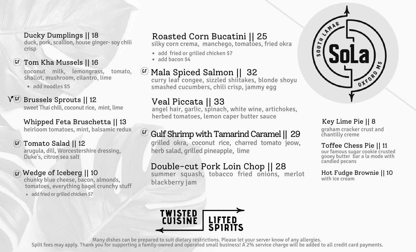duck, pork, scallion, house ginger- soy chili crisp Ducky Dumplings || 18

#### **GF** Tom Kha Mussels || 16

coconut milk, lemongrass, tomato, shallot, mushroom, cilantro, lime

• add noodles \$5

#### **GF** Brussels Sprouts || 12

sweet Thai chili, coconut rice, mint, lime

#### Whipped Feta Bruschetta || 13

heirloom tomatoes, mint, balsamic redux

#### **GF** Tomato Salad || 12

arugula, dill, Worcestershire dressing, Duke's, citron sea salt

#### **GF** Wedge of Iceberg || 10

chunky blue cheese, bacon, almonds, tomatoes, everything bagel crunchy stuff

• add fried or grilled chicken \$7

### Roasted Corn Bucatini || 25

silky corn crema, manchego, tomatoes, fried okra

- add fried or grilled chicken \$7
- $\bullet$  add bacon  $54$

### **GF** Mala Spiced Salmon || 32

curry leaf congee, sizzled shiitakes, blonde shoyu smashed cucumbers, chili crisp, jammy egg

### Veal Piccata || 33

angel hair, garlic, spinach, white wine, artichokes, herbed tomatoes, lemon caper butter sauce

### $\textsf{G}^{\textsf{\tiny{(F)}}}$  Gulf Shrimp with Tamarind Caramel || 29

grilled okra, coconut rice, charred tomato jeow, herb salad, grilled pineapple, lime

### Double-cut Pork Loin Chop || 28

summer squash, tobacco fried onions, merlot blackberry jam



graham cracker crust and chantilly creme Key Lime Pie || 8

#### Toffee Chess Pie || 11 our famous sugar cookie crusted

gooey butter bar a la mode with candied pecans

Hot Fudge Brownie || 10 with ice cream



Many dishes can be prepared to suit dietary restrictions. Please let your server know of any allergies.

Split fees may apply. Thank you for supporting a family-owned and operated small business! A 2% service charge will be added to all credit card payments.